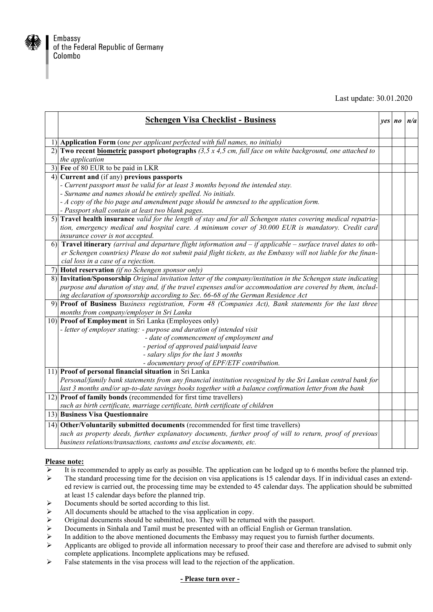

Last update: 30.01.2020

| <b>Schengen Visa Checklist - Business</b>                                                                            | ves no | n/a |
|----------------------------------------------------------------------------------------------------------------------|--------|-----|
| 1) Application Form (one per applicant perfected with full names, no initials)                                       |        |     |
| 2) Two recent biometric passport photographs (3,5 x 4,5 cm, full face on white background, one attached to           |        |     |
| the application                                                                                                      |        |     |
| 3) Fee of 80 EUR to be paid in LKR                                                                                   |        |     |
| 4) Current and (if any) previous passports                                                                           |        |     |
| - Current passport must be valid for at least 3 months beyond the intended stay.                                     |        |     |
| - Surname and names should be entirely spelled. No initials.                                                         |        |     |
| - A copy of the bio page and amendment page should be annexed to the application form.                               |        |     |
| - Passport shall contain at least two blank pages.                                                                   |        |     |
| 5) Travel health insurance valid for the length of stay and for all Schengen states covering medical repatria-       |        |     |
| tion, emergency medical and hospital care. A minimum cover of 30.000 EUR is mandatory. Credit card                   |        |     |
| insurance cover is not accepted.                                                                                     |        |     |
| 6) Travel itinerary (arrival and departure flight information and $-$ if applicable $-$ surface travel dates to oth- |        |     |
| er Schengen countries) Please do not submit paid flight tickets, as the Embassy will not liable for the finan-       |        |     |
| cial loss in a case of a rejection.                                                                                  |        |     |
| 7) Hotel reservation (if no Schengen sponsor only)                                                                   |        |     |
| 8) Invitation/Sponsorship Original invitation letter of the company/institution in the Schengen state indicating     |        |     |
| purpose and duration of stay and, if the travel expenses and/or accommodation are covered by them, includ-           |        |     |
| ing declaration of sponsorship according to Sec. 66-68 of the German Residence Act                                   |        |     |
| 9) Proof of Business Business registration, Form 48 (Companies Act), Bank statements for the last three              |        |     |
| months from company/employer in Sri Lanka                                                                            |        |     |
| 10) Proof of Employment in Sri Lanka (Employees only)                                                                |        |     |
| - letter of employer stating: - purpose and duration of intended visit                                               |        |     |
| - date of commencement of employment and                                                                             |        |     |
| - period of approved paid/unpaid leave                                                                               |        |     |
| - salary slips for the last 3 months                                                                                 |        |     |
| - documentary proof of EPF/ETF contribution.                                                                         |        |     |
| 11) Proof of personal financial situation in Sri Lanka                                                               |        |     |
| Personal/family bank statements from any financial institution recognized by the Sri Lankan central bank for         |        |     |
| last 3 months and/or up-to-date savings books together with a balance confirmation letter from the bank              |        |     |
| 12) Proof of family bonds (recommended for first time travellers)                                                    |        |     |
| such as birth certificate, marriage certificate, birth certificate of children                                       |        |     |
| 13) Business Visa Questionnaire                                                                                      |        |     |
| 14) Other/Voluntarily submitted documents (recommended for first time travellers)                                    |        |     |
| such as property deeds, further explanatory documents, further proof of will to return, proof of previous            |        |     |
| business relations/transactions, customs and excise documents, etc.                                                  |        |     |

## **Please note:**

- It is recommended to apply as early as possible. The application can be lodged up to 6 months before the planned trip.
- The standard processing time for the decision on visa applications is 15 calendar days. If in individual cases an extended review is carried out, the processing time may be extended to 45 calendar days. The application should be submitted at least 15 calendar days before the planned trip.
- $\triangleright$  Documents should be sorted according to this list.
- $\triangleright$  All documents should be attached to the visa application in copy.
- $\triangleright$  Original documents should be submitted, too. They will be returned with the passport.<br>  $\triangleright$  Documents in Sinhala and Tamil must be presented with an official English or German
- Documents in Sinhala and Tamil must be presented with an official English or German translation.
- In addition to the above mentioned documents the Embassy may request you to furnish further documents.<br>
Applicants are obliged to provide all information necessary to proof their case and therefore are advised to
- Applicants are obliged to provide all information necessary to proof their case and therefore are advised to submit only complete applications. Incomplete applications may be refused.
- False statements in the visa process will lead to the rejection of the application.

## **- Please turn over -**